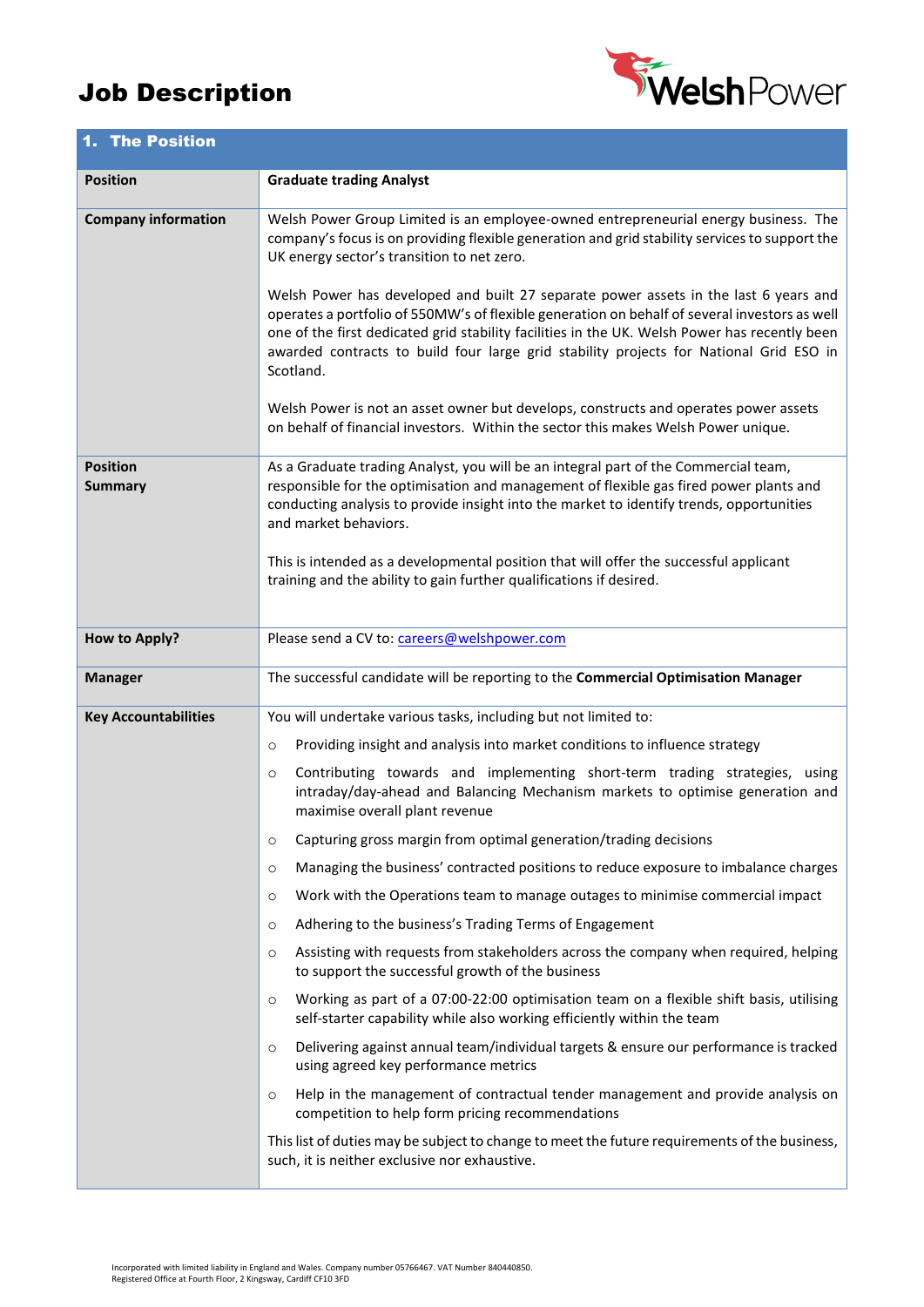## Job Description



| 1. The Position                   |                                                                                                                                                                                                                                                                                                                                                                                               |  |  |  |
|-----------------------------------|-----------------------------------------------------------------------------------------------------------------------------------------------------------------------------------------------------------------------------------------------------------------------------------------------------------------------------------------------------------------------------------------------|--|--|--|
| <b>Position</b>                   | <b>Graduate trading Analyst</b>                                                                                                                                                                                                                                                                                                                                                               |  |  |  |
| <b>Company information</b>        | Welsh Power Group Limited is an employee-owned entrepreneurial energy business. The<br>company's focus is on providing flexible generation and grid stability services to support the<br>UK energy sector's transition to net zero.                                                                                                                                                           |  |  |  |
|                                   | Welsh Power has developed and built 27 separate power assets in the last 6 years and<br>operates a portfolio of 550MW's of flexible generation on behalf of several investors as well<br>one of the first dedicated grid stability facilities in the UK. Welsh Power has recently been<br>awarded contracts to build four large grid stability projects for National Grid ESO in<br>Scotland. |  |  |  |
|                                   | Welsh Power is not an asset owner but develops, constructs and operates power assets<br>on behalf of financial investors. Within the sector this makes Welsh Power unique.                                                                                                                                                                                                                    |  |  |  |
| <b>Position</b><br><b>Summary</b> | As a Graduate trading Analyst, you will be an integral part of the Commercial team,<br>responsible for the optimisation and management of flexible gas fired power plants and<br>conducting analysis to provide insight into the market to identify trends, opportunities<br>and market behaviors.                                                                                            |  |  |  |
|                                   | This is intended as a developmental position that will offer the successful applicant<br>training and the ability to gain further qualifications if desired.                                                                                                                                                                                                                                  |  |  |  |
| <b>How to Apply?</b>              | Please send a CV to: careers@welshpower.com                                                                                                                                                                                                                                                                                                                                                   |  |  |  |
| <b>Manager</b>                    | The successful candidate will be reporting to the Commercial Optimisation Manager                                                                                                                                                                                                                                                                                                             |  |  |  |
| <b>Key Accountabilities</b>       | You will undertake various tasks, including but not limited to:                                                                                                                                                                                                                                                                                                                               |  |  |  |
|                                   | Providing insight and analysis into market conditions to influence strategy<br>$\circ$                                                                                                                                                                                                                                                                                                        |  |  |  |
|                                   | Contributing towards and implementing short-term trading strategies, using<br>$\circ$<br>intraday/day-ahead and Balancing Mechanism markets to optimise generation and<br>maximise overall plant revenue                                                                                                                                                                                      |  |  |  |
|                                   | Capturing gross margin from optimal generation/trading decisions<br>$\circ$                                                                                                                                                                                                                                                                                                                   |  |  |  |
|                                   | Managing the business' contracted positions to reduce exposure to imbalance charges<br>$\circ$                                                                                                                                                                                                                                                                                                |  |  |  |
|                                   | Work with the Operations team to manage outages to minimise commercial impact<br>$\circ$                                                                                                                                                                                                                                                                                                      |  |  |  |
|                                   | Adhering to the business's Trading Terms of Engagement<br>$\circ$                                                                                                                                                                                                                                                                                                                             |  |  |  |
|                                   | Assisting with requests from stakeholders across the company when required, helping<br>$\circ$<br>to support the successful growth of the business                                                                                                                                                                                                                                            |  |  |  |
|                                   | Working as part of a 07:00-22:00 optimisation team on a flexible shift basis, utilising<br>$\circ$<br>self-starter capability while also working efficiently within the team                                                                                                                                                                                                                  |  |  |  |
|                                   | Delivering against annual team/individual targets & ensure our performance is tracked<br>$\circ$<br>using agreed key performance metrics                                                                                                                                                                                                                                                      |  |  |  |
|                                   | Help in the management of contractual tender management and provide analysis on<br>$\circ$<br>competition to help form pricing recommendations                                                                                                                                                                                                                                                |  |  |  |
|                                   | This list of duties may be subject to change to meet the future requirements of the business,<br>such, it is neither exclusive nor exhaustive.                                                                                                                                                                                                                                                |  |  |  |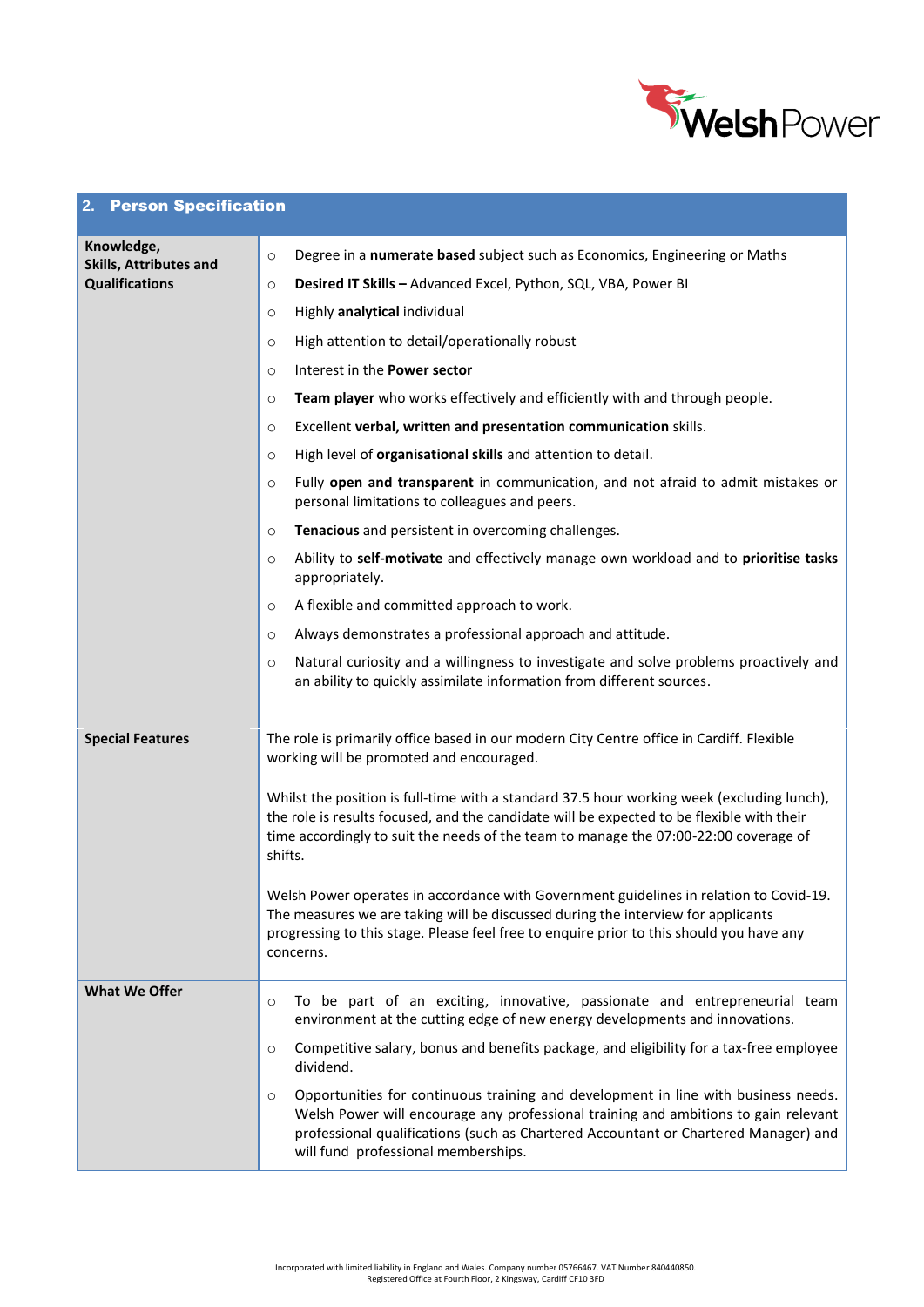

## **2.** Person Specification

| Knowledge,<br><b>Skills, Attributes and</b><br><b>Qualifications</b> | Degree in a numerate based subject such as Economics, Engineering or Maths<br>$\circ$                                                                                                                                                                                                                              |  |  |
|----------------------------------------------------------------------|--------------------------------------------------------------------------------------------------------------------------------------------------------------------------------------------------------------------------------------------------------------------------------------------------------------------|--|--|
|                                                                      | Desired IT Skills - Advanced Excel, Python, SQL, VBA, Power BI<br>$\circ$                                                                                                                                                                                                                                          |  |  |
|                                                                      | Highly analytical individual<br>$\circ$                                                                                                                                                                                                                                                                            |  |  |
|                                                                      | High attention to detail/operationally robust<br>$\circ$                                                                                                                                                                                                                                                           |  |  |
|                                                                      | Interest in the Power sector<br>$\circ$                                                                                                                                                                                                                                                                            |  |  |
|                                                                      | Team player who works effectively and efficiently with and through people.<br>$\circ$                                                                                                                                                                                                                              |  |  |
|                                                                      | Excellent verbal, written and presentation communication skills.<br>$\circ$                                                                                                                                                                                                                                        |  |  |
|                                                                      | High level of organisational skills and attention to detail.<br>$\circ$                                                                                                                                                                                                                                            |  |  |
|                                                                      | Fully open and transparent in communication, and not afraid to admit mistakes or<br>$\circ$<br>personal limitations to colleagues and peers.                                                                                                                                                                       |  |  |
|                                                                      | Tenacious and persistent in overcoming challenges.<br>$\circ$                                                                                                                                                                                                                                                      |  |  |
|                                                                      | Ability to self-motivate and effectively manage own workload and to prioritise tasks<br>$\circ$<br>appropriately.                                                                                                                                                                                                  |  |  |
|                                                                      | A flexible and committed approach to work.<br>$\circ$                                                                                                                                                                                                                                                              |  |  |
|                                                                      | Always demonstrates a professional approach and attitude.<br>$\circ$                                                                                                                                                                                                                                               |  |  |
|                                                                      | Natural curiosity and a willingness to investigate and solve problems proactively and<br>$\circ$<br>an ability to quickly assimilate information from different sources.                                                                                                                                           |  |  |
|                                                                      |                                                                                                                                                                                                                                                                                                                    |  |  |
| <b>Special Features</b>                                              | The role is primarily office based in our modern City Centre office in Cardiff. Flexible<br>working will be promoted and encouraged.                                                                                                                                                                               |  |  |
|                                                                      | Whilst the position is full-time with a standard 37.5 hour working week (excluding lunch),<br>the role is results focused, and the candidate will be expected to be flexible with their<br>time accordingly to suit the needs of the team to manage the 07:00-22:00 coverage of<br>shifts.                         |  |  |
|                                                                      | Welsh Power operates in accordance with Government guidelines in relation to Covid-19.<br>The measures we are taking will be discussed during the interview for applicants<br>progressing to this stage. Please feel free to enquire prior to this should you have any<br>concerns.                                |  |  |
| <b>What We Offer</b>                                                 | To be part of an exciting, innovative, passionate and entrepreneurial team<br>$\circ$<br>environment at the cutting edge of new energy developments and innovations.<br>Competitive salary, bonus and benefits package, and eligibility for a tax-free employee<br>$\circ$<br>dividend.                            |  |  |
|                                                                      | Opportunities for continuous training and development in line with business needs.<br>$\circ$<br>Welsh Power will encourage any professional training and ambitions to gain relevant<br>professional qualifications (such as Chartered Accountant or Chartered Manager) and<br>will fund professional memberships. |  |  |